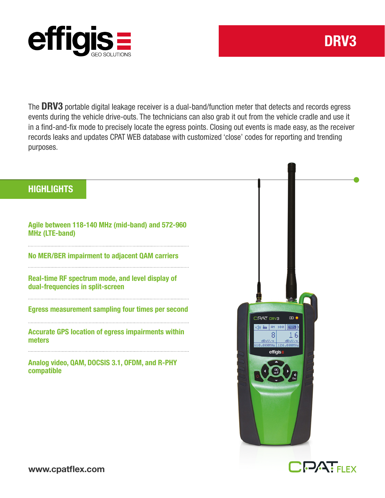

The DRV3 portable digital leakage receiver is a dual-band/function meter that detects and records egress events during the vehicle drive-outs. The technicians can also grab it out from the vehicle cradle and use it in a find-and-fix mode to precisely locate the egress points. Closing out events is made easy, as the receiver records leaks and updates CPAT WEB database with customized 'close' codes for reporting and trending purposes.